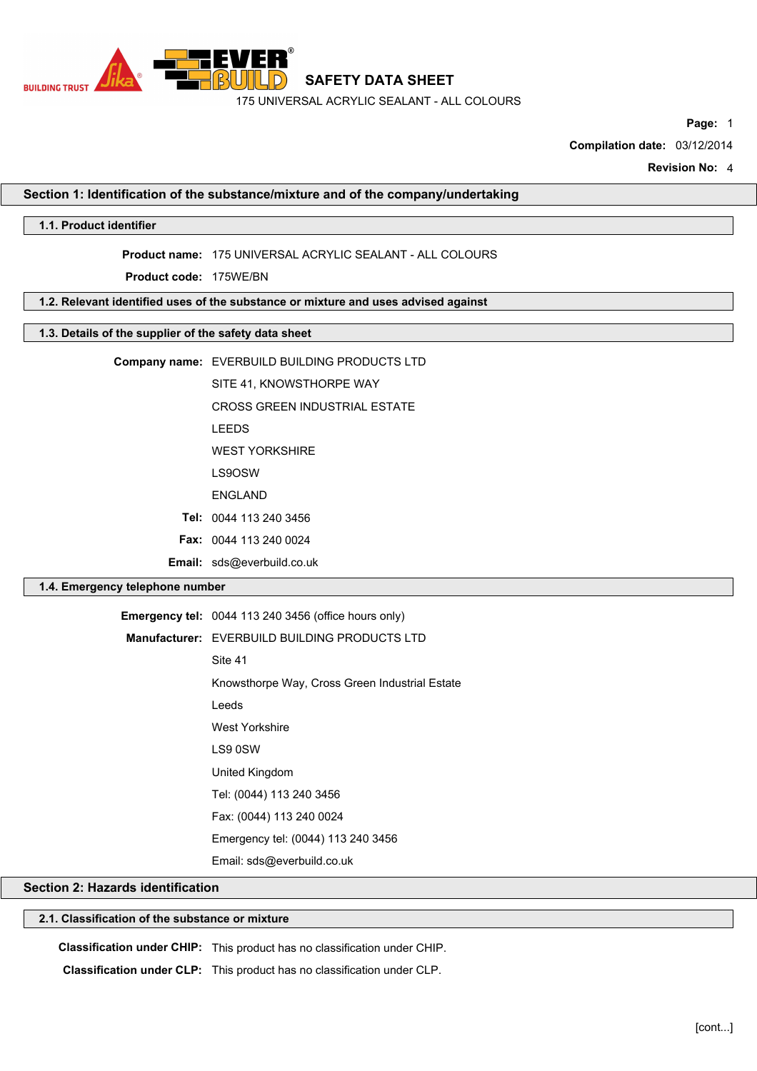

**Page:** 1

**Compilation date:** 03/12/2014

**Revision No:** 4

# **Section 1: Identification of the substance/mixture and of the company/undertaking**

## **1.1. Product identifier**

**Product name:** 175 UNIVERSAL ACRYLIC SEALANT - ALL COLOURS

**Product code:** 175WE/BN

## **1.2. Relevant identified uses of the substance or mixture and uses advised against**

## **1.3. Details of the supplier of the safety data sheet**

|  | Company name: EVERBUILD BUILDING PRODUCTS LTD |
|--|-----------------------------------------------|
|--|-----------------------------------------------|

SITE 41, KNOWSTHORPE WAY

CROSS GREEN INDUSTRIAL ESTATE

LEEDS

WEST YORKSHIRE

- LS9OSW
- ENGLAND

**Tel:** 0044 113 240 3456

**Fax:** 0044 113 240 0024

**Email:** sds@everbuild.co.uk

## **1.4. Emergency telephone number**

| <b>Emergency tel:</b> 0044 113 240 3456 (office hours only) |
|-------------------------------------------------------------|
| Manufacturer: EVERBUILD BUILDING PRODUCTS LTD               |
| Site 41                                                     |
| Knowsthorpe Way, Cross Green Industrial Estate              |
| Leeds                                                       |
| <b>West Yorkshire</b>                                       |
| LS9 0SW                                                     |
| United Kingdom                                              |
| Tel: (0044) 113 240 3456                                    |
| Fax: (0044) 113 240 0024                                    |
| Emergency tel: (0044) 113 240 3456                          |
| Email: sds@everbuild.co.uk                                  |

## **Section 2: Hazards identification**

#### **2.1. Classification of the substance or mixture**

**Classification under CHIP:** This product has no classification under CHIP.

**Classification under CLP:** This product has no classification under CLP.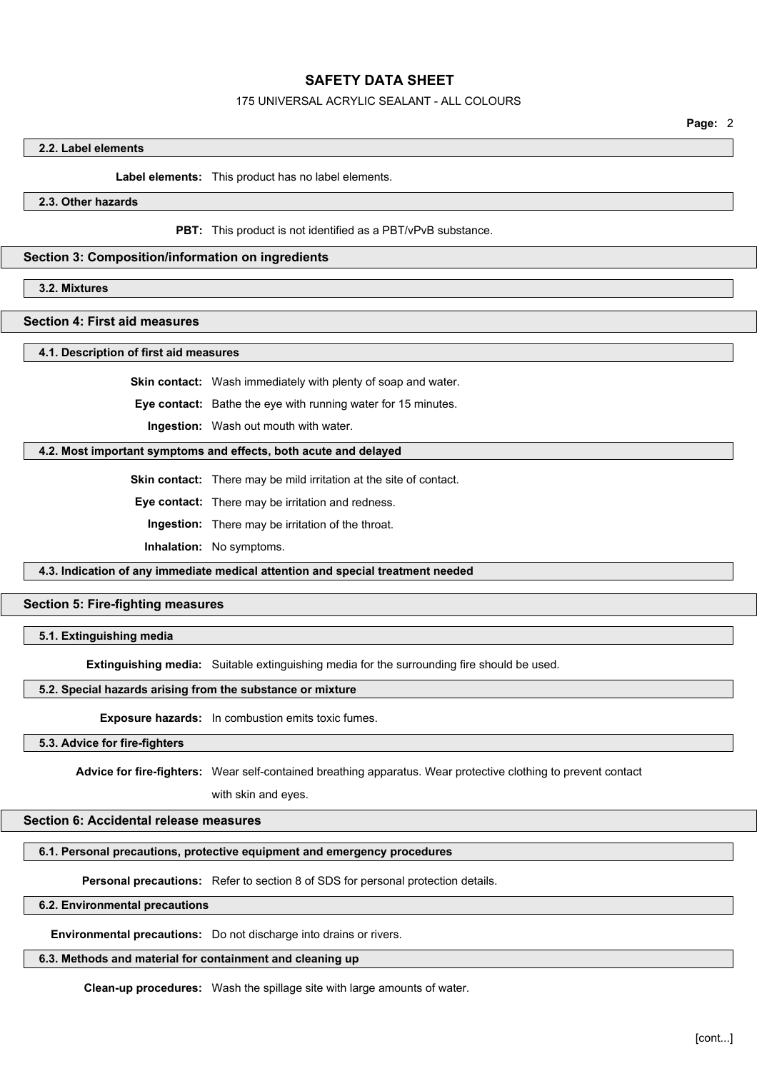#### 175 UNIVERSAL ACRYLIC SEALANT - ALL COLOURS

**Page:** 2

#### **2.2. Label elements**

**Label elements:** This product has no label elements.

**2.3. Other hazards**

**PBT:** This product is not identified as a PBT/vPvB substance.

#### **Section 3: Composition/information on ingredients**

**3.2. Mixtures**

## **Section 4: First aid measures**

**4.1. Description of first aid measures**

**Skin contact:** Wash immediately with plenty of soap and water.

**Eye contact:** Bathe the eye with running water for 15 minutes.

**Ingestion:** Wash out mouth with water.

## **4.2. Most important symptoms and effects, both acute and delayed**

**Skin contact:** There may be mild irritation at the site of contact.

**Eye contact:** There may be irritation and redness.

**Ingestion:** There may be irritation of the throat.

**Inhalation:** No symptoms.

**4.3. Indication of any immediate medical attention and special treatment needed**

#### **Section 5: Fire-fighting measures**

#### **5.1. Extinguishing media**

**Extinguishing media:** Suitable extinguishing media for the surrounding fire should be used.

#### **5.2. Special hazards arising from the substance or mixture**

**Exposure hazards:** In combustion emits toxic fumes.

## **5.3. Advice for fire-fighters**

**Advice for fire-fighters:** Wear self-contained breathing apparatus. Wear protective clothing to prevent contact

with skin and eyes.

#### **Section 6: Accidental release measures**

#### **6.1. Personal precautions, protective equipment and emergency procedures**

**Personal precautions:** Refer to section 8 of SDS for personal protection details.

## **6.2. Environmental precautions**

**Environmental precautions:** Do not discharge into drains or rivers.

## **6.3. Methods and material for containment and cleaning up**

**Clean-up procedures:** Wash the spillage site with large amounts of water.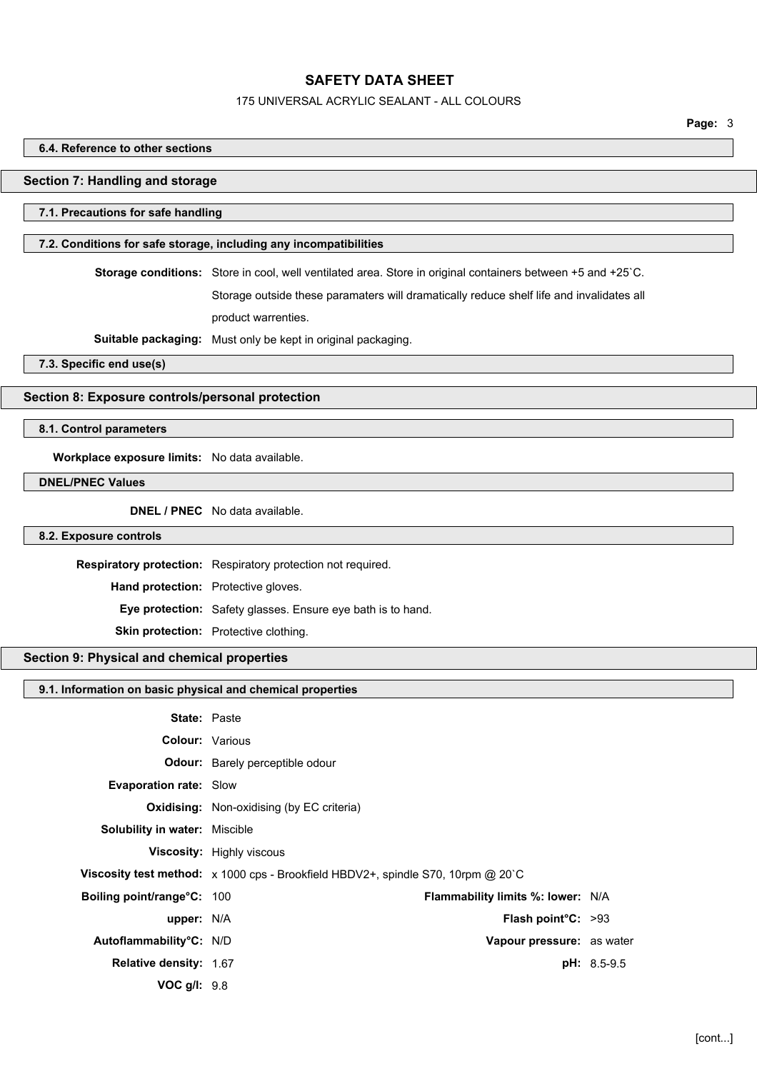#### 175 UNIVERSAL ACRYLIC SEALANT - ALL COLOURS

# **6.4. Reference to other sections Section 7: Handling and storage 7.1. Precautions for safe handling 7.2. Conditions for safe storage, including any incompatibilities Storage conditions:** Store in cool, well ventilated area. Store in original containers between +5 and +25`C. Storage outside these paramaters will dramatically reduce shelf life and invalidates all product warrenties. **Suitable packaging:** Must only be kept in original packaging. **7.3. Specific end use(s) Section 8: Exposure controls/personal protection 8.1. Control parameters Workplace exposure limits:** No data available. **DNEL/PNEC Values DNEL / PNEC** No data available. **8.2. Exposure controls Respiratory protection:** Respiratory protection not required. **Hand protection:** Protective gloves. **Eye protection:** Safety glasses. Ensure eye bath is to hand. **Skin protection:** Protective clothing. **Section 9: Physical and chemical properties 9.1. Information on basic physical and chemical properties State:** Paste **Colour:** Various **Odour:** Barely perceptible odour **Evaporation rate:** Slow **Oxidising:** Non-oxidising (by EC criteria) **Solubility in water:** Miscible **Viscosity:** Highly viscous **Viscosity test method:** x 1000 cps - Brookfield HBDV2+, spindle S70, 10rpm @ 20`C **Boiling point/range°C:** 100 **Flammability limits %: lower:** N/A **upper:** N/A **Flash point°C:** >93 **Autoflammability°C:** N/D **Vapour pressure:** as water **Relative density:** 1.67 **pH:** 8.5-9.5

**VOC g/l:** 9.8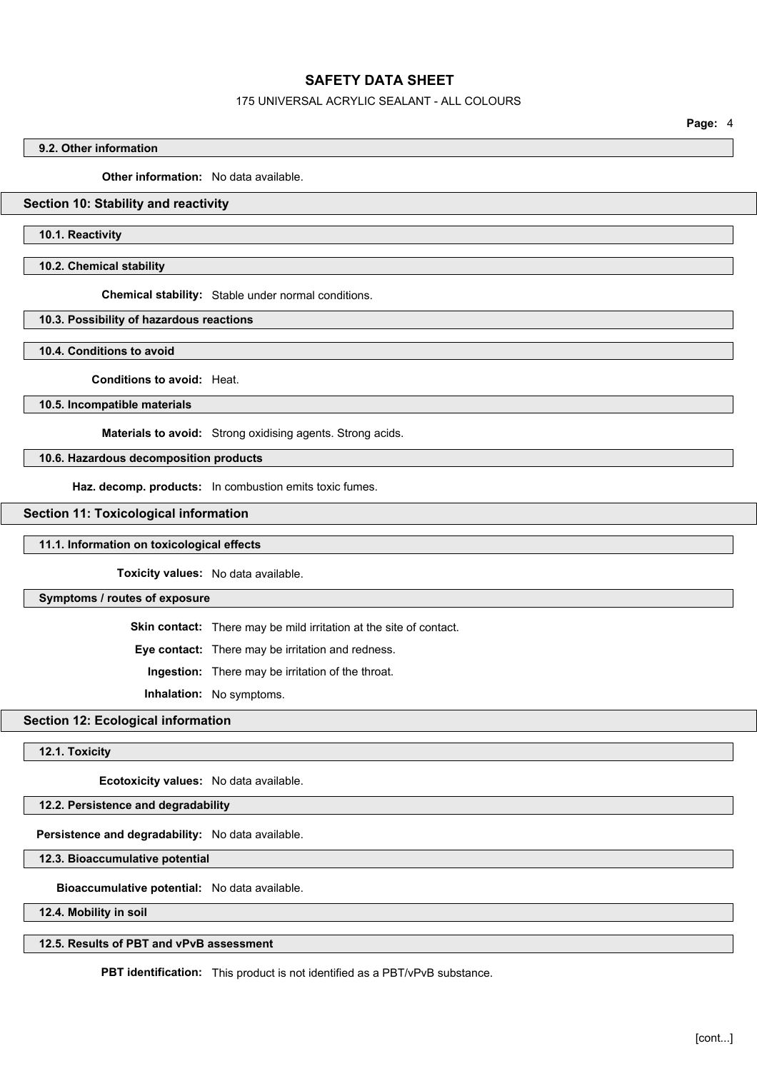#### 175 UNIVERSAL ACRYLIC SEALANT - ALL COLOURS

**Page:** 4

#### **9.2. Other information**

**Other information:** No data available.

#### **Section 10: Stability and reactivity**

#### **10.1. Reactivity**

**10.2. Chemical stability**

**Chemical stability:** Stable under normal conditions.

#### **10.3. Possibility of hazardous reactions**

**10.4. Conditions to avoid**

**Conditions to avoid:** Heat.

**10.5. Incompatible materials**

**Materials to avoid:** Strong oxidising agents. Strong acids.

#### **10.6. Hazardous decomposition products**

**Haz. decomp. products:** In combustion emits toxic fumes.

#### **Section 11: Toxicological information**

#### **11.1. Information on toxicological effects**

**Toxicity values:** No data available.

**Symptoms / routes of exposure**

**Skin contact:** There may be mild irritation at the site of contact.

**Eye contact:** There may be irritation and redness.

**Ingestion:** There may be irritation of the throat.

**Inhalation:** No symptoms.

## **Section 12: Ecological information**

**12.1. Toxicity**

**Ecotoxicity values:** No data available.

## **12.2. Persistence and degradability**

**Persistence and degradability:** No data available.

**12.3. Bioaccumulative potential**

**Bioaccumulative potential:** No data available.

**12.4. Mobility in soil**

## **12.5. Results of PBT and vPvB assessment**

**PBT identification:** This product is not identified as a PBT/vPvB substance.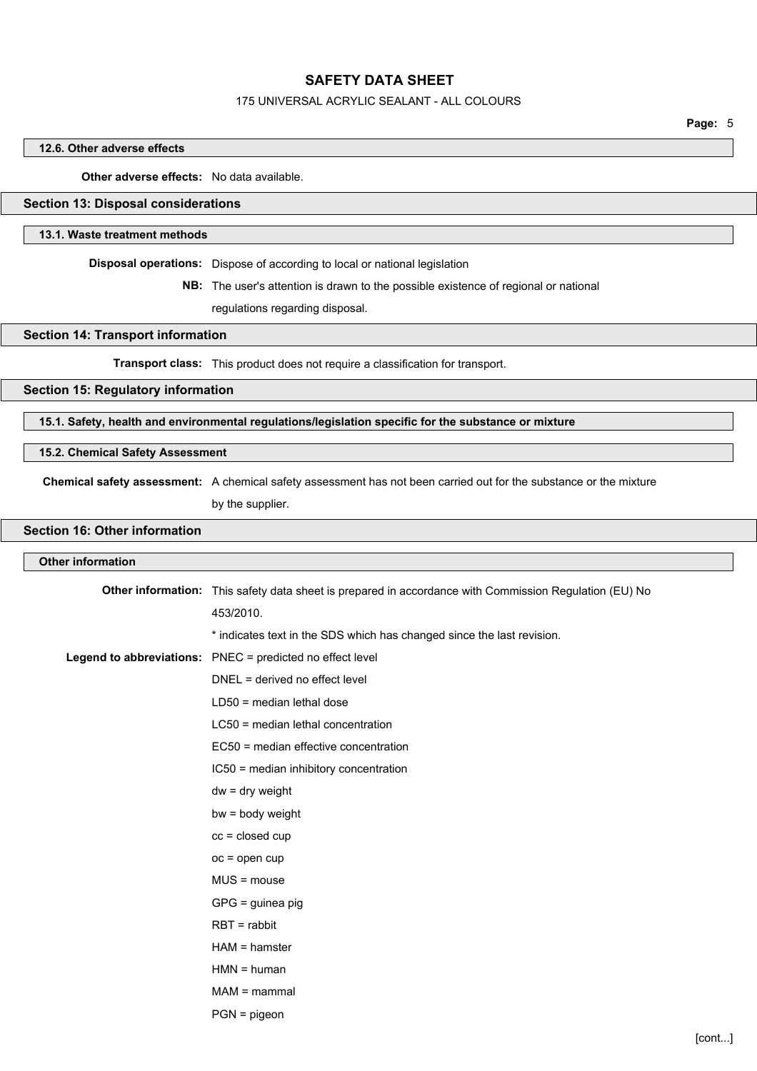#### 175 UNIVERSAL ACRYLIC SEALANT - ALL COLOURS

**Page:** 5

#### **12.6. Other adverse effects**

**Other adverse effects:** No data available.

#### **Section 13: Disposal considerations**

#### **13.1. Waste treatment methods**

**Disposal operations:** Dispose of according to local or national legislation

**NB:** The user's attention is drawn to the possible existence of regional or national

regulations regarding disposal.

**Section 14: Transport information**

**Transport class:** This product does not require a classification for transport.

## **Section 15: Regulatory information**

**15.1. Safety, health and environmental regulations/legislation specific for the substance or mixture**

#### **15.2. Chemical Safety Assessment**

**Chemical safety assessment:** A chemical safety assessment has not been carried out for the substance or the mixture

by the supplier.

## **Section 16: Other information**

#### **Other information**

| Other information: This safety data sheet is prepared in accordance with Commission Regulation (EU) No |
|--------------------------------------------------------------------------------------------------------|
| 453/2010.                                                                                              |
| * indicates text in the SDS which has changed since the last revision.                                 |
| Legend to abbreviations: PNEC = predicted no effect level                                              |
| DNEL = derived no effect level                                                                         |
| $LD50$ = median lethal dose                                                                            |
| LC50 = median lethal concentration                                                                     |
| EC50 = median effective concentration                                                                  |
| IC50 = median inhibitory concentration                                                                 |
| $dw = dry$ weight                                                                                      |
| bw = body weight                                                                                       |
| $cc = closed cup$                                                                                      |
| $oc = open cup$                                                                                        |
| $MUS = mouse$                                                                                          |
| $GPG =$ guinea pig                                                                                     |
| $RBT = rabbit$                                                                                         |
| $HAM = hamster$                                                                                        |
| $HMN = human$                                                                                          |
| $MAM =$ mammal                                                                                         |
| $PGN = pigeon$                                                                                         |
|                                                                                                        |